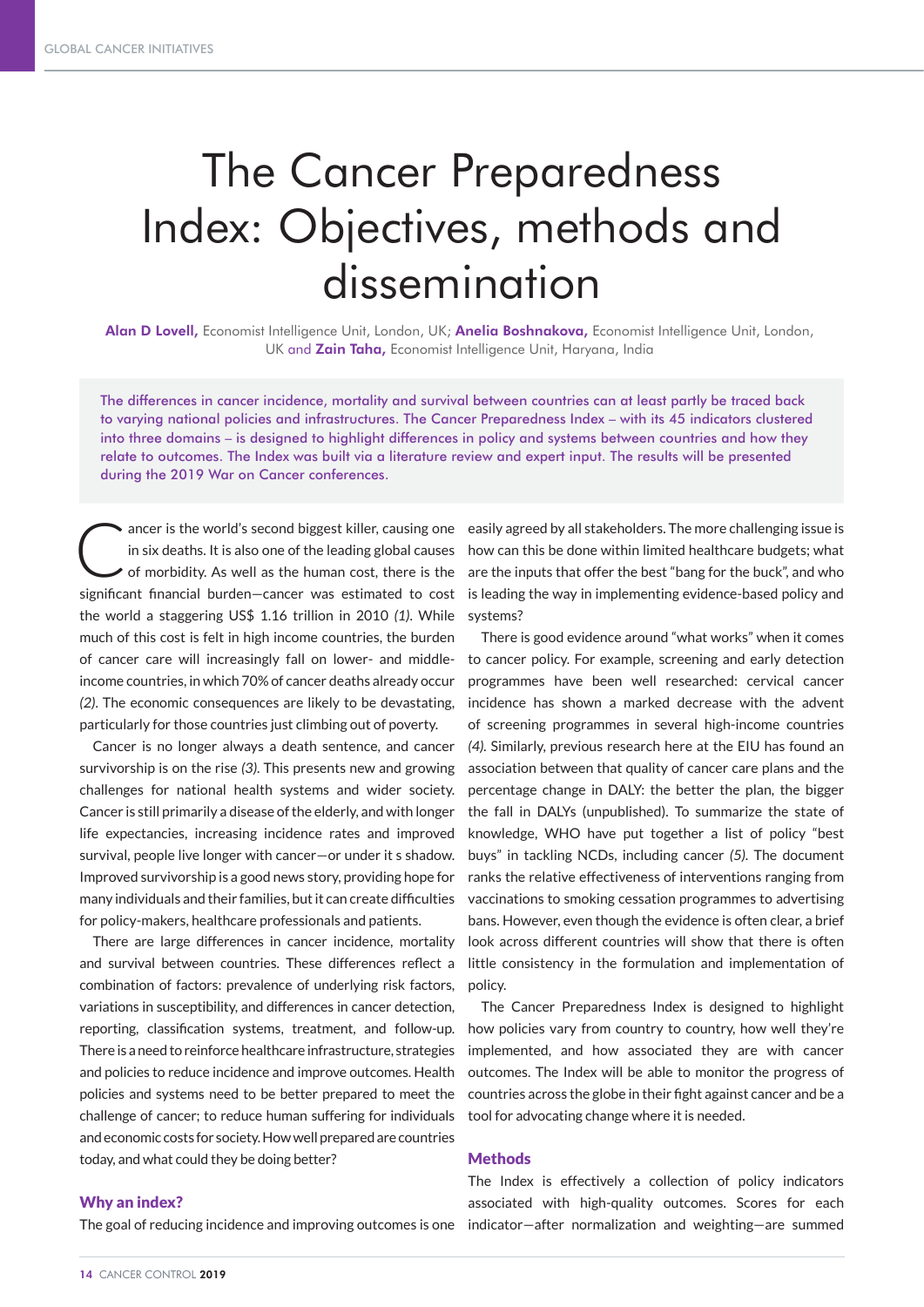# The Cancer Preparedness Index: Objectives, methods and dissemination

Alan D Lovell, Economist Intelligence Unit, London, UK; Anelia Boshnakova, Economist Intelligence Unit, London, UK and Zain Taha, Economist Intelligence Unit, Haryana, India

The differences in cancer incidence, mortality and survival between countries can at least partly be traced back to varying national policies and infrastructures. The Cancer Preparedness Index – with its 45 indicators clustered into three domains – is designed to highlight differences in policy and systems between countries and how they relate to outcomes. The Index was built via a literature review and expert input. The results will be presented during the 2019 War on Cancer conferences.

ancer is the world's second biggest killer, causing one<br>in six deaths. It is also one of the leading global causes<br>of morbidity. As well as the human cost, there is the in six deaths. It is also one of the leading global causes of morbidity. As well as the human cost, there is the significant financial burden—cancer was estimated to cost the world a staggering US\$ 1.16 trillion in 2010 *(1)*. While much of this cost is felt in high income countries, the burden of cancer care will increasingly fall on lower- and middleincome countries, in which 70% of cancer deaths already occur *(2)*. The economic consequences are likely to be devastating, particularly for those countries just climbing out of poverty.

Cancer is no longer always a death sentence, and cancer survivorship is on the rise *(3)*. This presents new and growing challenges for national health systems and wider society. Cancer is still primarily a disease of the elderly, and with longer life expectancies, increasing incidence rates and improved survival, people live longer with cancer—or under it s shadow. Improved survivorship is a good news story, providing hope for many individuals and their families, but it can create difficulties for policy-makers, healthcare professionals and patients.

There are large differences in cancer incidence, mortality and survival between countries. These differences reflect a combination of factors: prevalence of underlying risk factors, variations in susceptibility, and differences in cancer detection, reporting, classification systems, treatment, and follow-up. There is a need to reinforce healthcare infrastructure, strategies and policies to reduce incidence and improve outcomes. Health policies and systems need to be better prepared to meet the challenge of cancer; to reduce human suffering for individuals and economic costs for society. How well prepared are countries today, and what could they be doing better?

If ancer is the world's second biggest killer, causing one easily agreed by all stakeholders. The more challenging issue is how can this be done within limited healthcare budgets; what are the inputs that offer the best "bang for the buck", and who is leading the way in implementing evidence-based policy and systems?

> There is good evidence around "what works" when it comes to cancer policy. For example, screening and early detection programmes have been well researched: cervical cancer incidence has shown a marked decrease with the advent of screening programmes in several high-income countries *(4).* Similarly, previous research here at the EIU has found an association between that quality of cancer care plans and the percentage change in DALY: the better the plan, the bigger the fall in DALYs (unpublished). To summarize the state of knowledge, WHO have put together a list of policy "best buys" in tackling NCDs, including cancer *(5)*. The document ranks the relative effectiveness of interventions ranging from vaccinations to smoking cessation programmes to advertising bans. However, even though the evidence is often clear, a brief look across different countries will show that there is often little consistency in the formulation and implementation of policy.

> The Cancer Preparedness Index is designed to highlight how policies vary from country to country, how well they're implemented, and how associated they are with cancer outcomes. The Index will be able to monitor the progress of countries across the globe in their fight against cancer and be a tool for advocating change where it is needed.

#### **Methods**

## The Index is effectively a collection of policy indicators associated with high-quality outcomes. Scores for each indicator—after normalization and weighting—are summed

#### Why an index?

The goal of reducing incidence and improving outcomes is one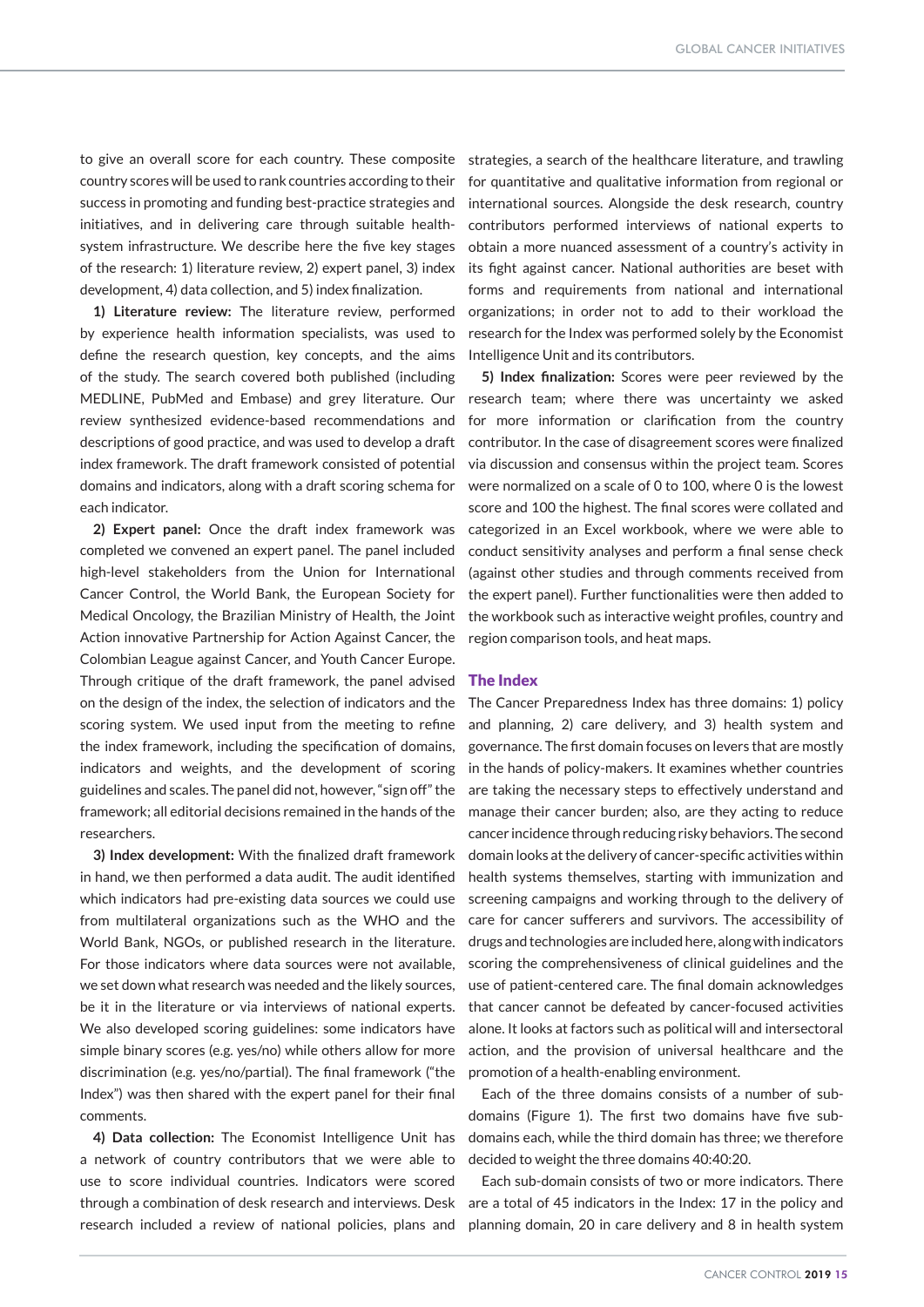to give an overall score for each country. These composite country scores will be used to rank countries according to their success in promoting and funding best-practice strategies and initiatives, and in delivering care through suitable healthsystem infrastructure. We describe here the five key stages of the research: 1) literature review, 2) expert panel, 3) index development, 4) data collection, and 5) index finalization.

**1) Literature review:** The literature review, performed by experience health information specialists, was used to define the research question, key concepts, and the aims of the study. The search covered both published (including MEDLINE, PubMed and Embase) and grey literature. Our review synthesized evidence-based recommendations and descriptions of good practice, and was used to develop a draft index framework. The draft framework consisted of potential domains and indicators, along with a draft scoring schema for each indicator.

**2) Expert panel:** Once the draft index framework was completed we convened an expert panel. The panel included high-level stakeholders from the Union for International Cancer Control, the World Bank, the European Society for Medical Oncology, the Brazilian Ministry of Health, the Joint Action innovative Partnership for Action Against Cancer, the Colombian League against Cancer, and Youth Cancer Europe. Through critique of the draft framework, the panel advised on the design of the index, the selection of indicators and the scoring system. We used input from the meeting to refine the index framework, including the specification of domains, indicators and weights, and the development of scoring guidelines and scales. The panel did not, however, "sign off" the framework; all editorial decisions remained in the hands of the researchers.

**3) Index development:** With the finalized draft framework in hand, we then performed a data audit. The audit identified which indicators had pre-existing data sources we could use from multilateral organizations such as the WHO and the World Bank, NGOs, or published research in the literature. For those indicators where data sources were not available, we set down what research was needed and the likely sources, be it in the literature or via interviews of national experts. We also developed scoring guidelines: some indicators have simple binary scores (e.g. yes/no) while others allow for more discrimination (e.g. yes/no/partial). The final framework ("the Index") was then shared with the expert panel for their final comments.

**4) Data collection:** The Economist Intelligence Unit has a network of country contributors that we were able to use to score individual countries. Indicators were scored through a combination of desk research and interviews. Desk research included a review of national policies, plans and

strategies, a search of the healthcare literature, and trawling for quantitative and qualitative information from regional or international sources. Alongside the desk research, country contributors performed interviews of national experts to obtain a more nuanced assessment of a country's activity in its fight against cancer. National authorities are beset with forms and requirements from national and international organizations; in order not to add to their workload the research for the Index was performed solely by the Economist Intelligence Unit and its contributors.

**5) Index finalization:** Scores were peer reviewed by the research team; where there was uncertainty we asked for more information or clarification from the country contributor. In the case of disagreement scores were finalized via discussion and consensus within the project team. Scores were normalized on a scale of 0 to 100, where 0 is the lowest score and 100 the highest. The final scores were collated and categorized in an Excel workbook, where we were able to conduct sensitivity analyses and perform a final sense check (against other studies and through comments received from the expert panel). Further functionalities were then added to the workbook such as interactive weight profiles, country and region comparison tools, and heat maps.

#### The Index

The Cancer Preparedness Index has three domains: 1) policy and planning, 2) care delivery, and 3) health system and governance. The first domain focuses on levers that are mostly in the hands of policy-makers. It examines whether countries are taking the necessary steps to effectively understand and manage their cancer burden; also, are they acting to reduce cancer incidence through reducing risky behaviors. The second domain looks at the delivery of cancer-specific activities within health systems themselves, starting with immunization and screening campaigns and working through to the delivery of care for cancer sufferers and survivors. The accessibility of drugs and technologies are included here, along with indicators scoring the comprehensiveness of clinical guidelines and the use of patient-centered care. The final domain acknowledges that cancer cannot be defeated by cancer-focused activities alone. It looks at factors such as political will and intersectoral action, and the provision of universal healthcare and the promotion of a health-enabling environment.

Each of the three domains consists of a number of subdomains (Figure 1). The first two domains have five subdomains each, while the third domain has three; we therefore decided to weight the three domains 40:40:20.

Each sub-domain consists of two or more indicators. There are a total of 45 indicators in the Index: 17 in the policy and planning domain, 20 in care delivery and 8 in health system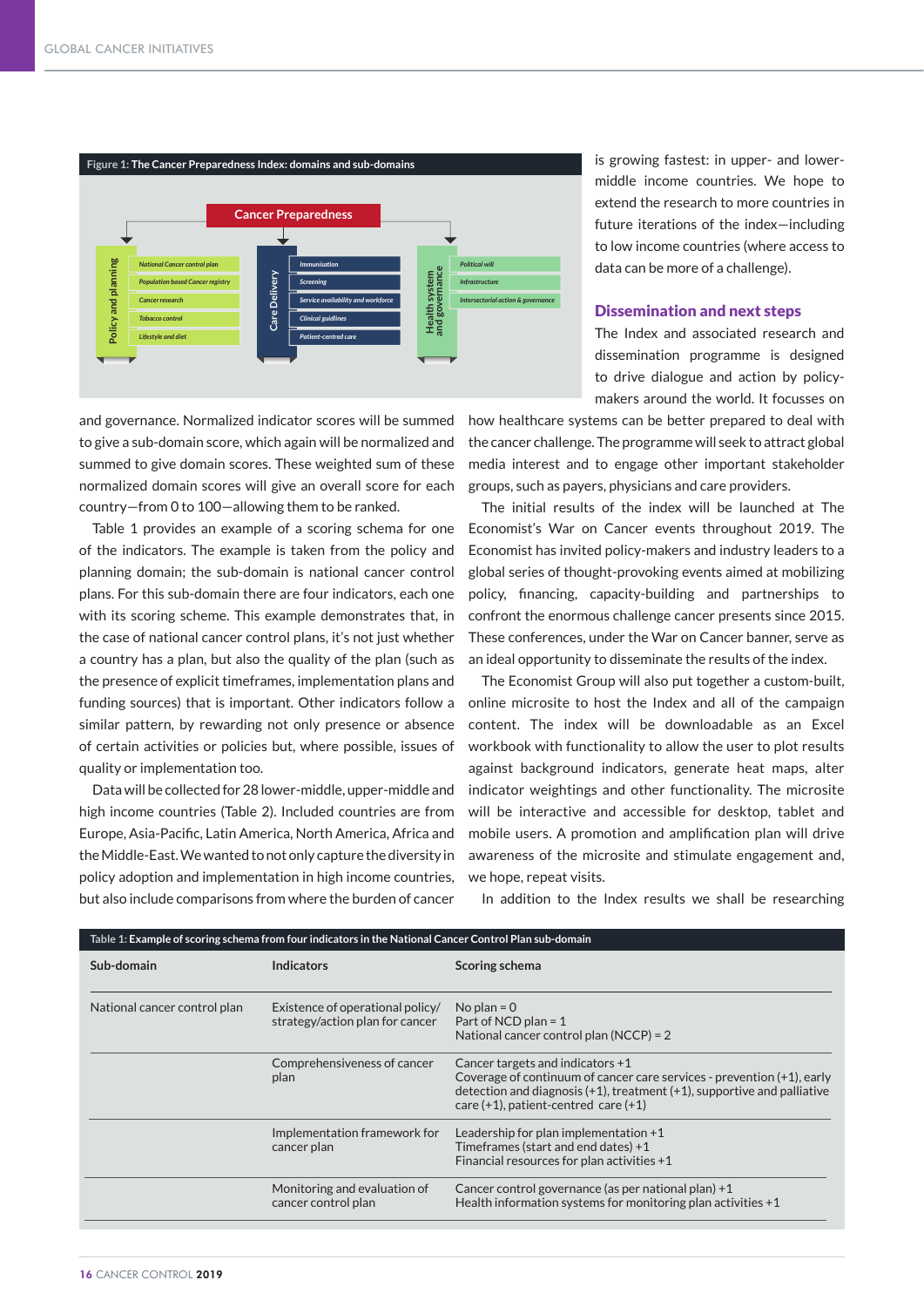

and governance. Normalized indicator scores will be summed to give a sub-domain score, which again will be normalized and summed to give domain scores. These weighted sum of these normalized domain scores will give an overall score for each country—from 0 to 100—allowing them to be ranked.

Table 1 provides an example of a scoring schema for one of the indicators. The example is taken from the policy and planning domain; the sub-domain is national cancer control plans. For this sub-domain there are four indicators, each one with its scoring scheme. This example demonstrates that, in the case of national cancer control plans, it's not just whether a country has a plan, but also the quality of the plan (such as the presence of explicit timeframes, implementation plans and funding sources) that is important. Other indicators follow a similar pattern, by rewarding not only presence or absence of certain activities or policies but, where possible, issues of quality or implementation too.

Data will be collected for 28 lower-middle, upper-middle and high income countries (Table 2). Included countries are from Europe, Asia-Pacific, Latin America, North America, Africa and the Middle-East. We wanted to not only capture the diversity in policy adoption and implementation in high income countries, but also include comparisons from where the burden of cancer is growing fastest: in upper- and lowermiddle income countries. We hope to extend the research to more countries in future iterations of the index—including to low income countries (where access to data can be more of a challenge).

#### Dissemination and next steps

The Index and associated research and dissemination programme is designed to drive dialogue and action by policymakers around the world. It focusses on

how healthcare systems can be better prepared to deal with the cancer challenge. The programme will seek to attract global media interest and to engage other important stakeholder groups, such as payers, physicians and care providers.

The initial results of the index will be launched at The Economist's War on Cancer events throughout 2019. The Economist has invited policy-makers and industry leaders to a global series of thought-provoking events aimed at mobilizing policy, financing, capacity-building and partnerships to confront the enormous challenge cancer presents since 2015. These conferences, under the War on Cancer banner, serve as an ideal opportunity to disseminate the results of the index.

The Economist Group will also put together a custom-built, online microsite to host the Index and all of the campaign content. The index will be downloadable as an Excel workbook with functionality to allow the user to plot results against background indicators, generate heat maps, alter indicator weightings and other functionality. The microsite will be interactive and accessible for desktop, tablet and mobile users. A promotion and amplification plan will drive awareness of the microsite and stimulate engagement and, we hope, repeat visits.

In addition to the Index results we shall be researching

| Table 1: Example of scoring schema from four indicators in the National Cancer Control Plan sub-domain |                                                                     |                                                                                                                                                                                                                                          |
|--------------------------------------------------------------------------------------------------------|---------------------------------------------------------------------|------------------------------------------------------------------------------------------------------------------------------------------------------------------------------------------------------------------------------------------|
| Sub-domain                                                                                             | <b>Indicators</b>                                                   | Scoring schema                                                                                                                                                                                                                           |
| National cancer control plan                                                                           | Existence of operational policy/<br>strategy/action plan for cancer | No plan = $0$<br>Part of NCD plan = $1$<br>National cancer control plan (NCCP) = 2                                                                                                                                                       |
|                                                                                                        | Comprehensiveness of cancer<br>plan                                 | Cancer targets and indicators +1<br>Coverage of continuum of cancer care services - prevention (+1), early<br>detection and diagnosis $(+1)$ , treatment $(+1)$ , supportive and palliative<br>care $(+1)$ , patient-centred care $(+1)$ |
|                                                                                                        | Implementation framework for<br>cancer plan                         | Leadership for plan implementation $+1$<br>Timeframes (start and end dates) +1<br>Financial resources for plan activities +1                                                                                                             |
|                                                                                                        | Monitoring and evaluation of<br>cancer control plan                 | Cancer control governance (as per national plan) $+1$<br>Health information systems for monitoring plan activities $+1$                                                                                                                  |